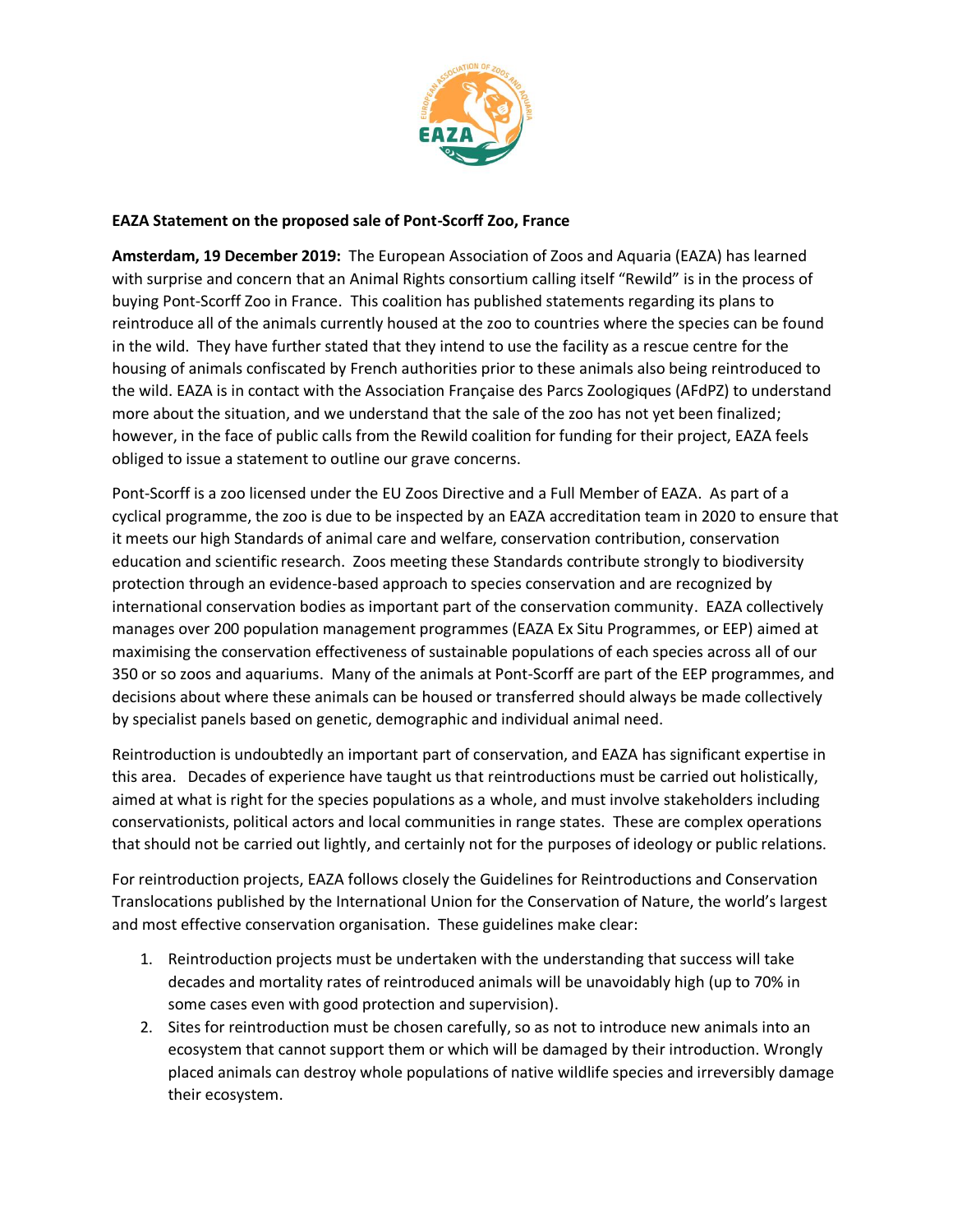

## **EAZA Statement on the proposed sale of Pont-Scorff Zoo, France**

**Amsterdam, 19 December 2019:** The European Association of Zoos and Aquaria (EAZA) has learned with surprise and concern that an Animal Rights consortium calling itself "Rewild" is in the process of buying Pont-Scorff Zoo in France. This coalition has published statements regarding its plans to reintroduce all of the animals currently housed at the zoo to countries where the species can be found in the wild. They have further stated that they intend to use the facility as a rescue centre for the housing of animals confiscated by French authorities prior to these animals also being reintroduced to the wild. EAZA is in contact with the Association Française des Parcs Zoologiques (AFdPZ) to understand more about the situation, and we understand that the sale of the zoo has not yet been finalized; however, in the face of public calls from the Rewild coalition for funding for their project, EAZA feels obliged to issue a statement to outline our grave concerns.

Pont-Scorff is a zoo licensed under the EU Zoos Directive and a Full Member of EAZA. As part of a cyclical programme, the zoo is due to be inspected by an EAZA accreditation team in 2020 to ensure that it meets our high Standards of animal care and welfare, conservation contribution, conservation education and scientific research. Zoos meeting these Standards contribute strongly to biodiversity protection through an evidence-based approach to species conservation and are recognized by international conservation bodies as important part of the conservation community. EAZA collectively manages over 200 population management programmes (EAZA Ex Situ Programmes, or EEP) aimed at maximising the conservation effectiveness of sustainable populations of each species across all of our 350 or so zoos and aquariums. Many of the animals at Pont-Scorff are part of the EEP programmes, and decisions about where these animals can be housed or transferred should always be made collectively by specialist panels based on genetic, demographic and individual animal need.

Reintroduction is undoubtedly an important part of conservation, and EAZA has significant expertise in this area. Decades of experience have taught us that reintroductions must be carried out holistically, aimed at what is right for the species populations as a whole, and must involve stakeholders including conservationists, political actors and local communities in range states. These are complex operations that should not be carried out lightly, and certainly not for the purposes of ideology or public relations.

For reintroduction projects, EAZA follows closely the Guidelines for Reintroductions and Conservation Translocations published by the International Union for the Conservation of Nature, the world's largest and most effective conservation organisation. These guidelines make clear:

- 1. Reintroduction projects must be undertaken with the understanding that success will take decades and mortality rates of reintroduced animals will be unavoidably high (up to 70% in some cases even with good protection and supervision).
- 2. Sites for reintroduction must be chosen carefully, so as not to introduce new animals into an ecosystem that cannot support them or which will be damaged by their introduction. Wrongly placed animals can destroy whole populations of native wildlife species and irreversibly damage their ecosystem.